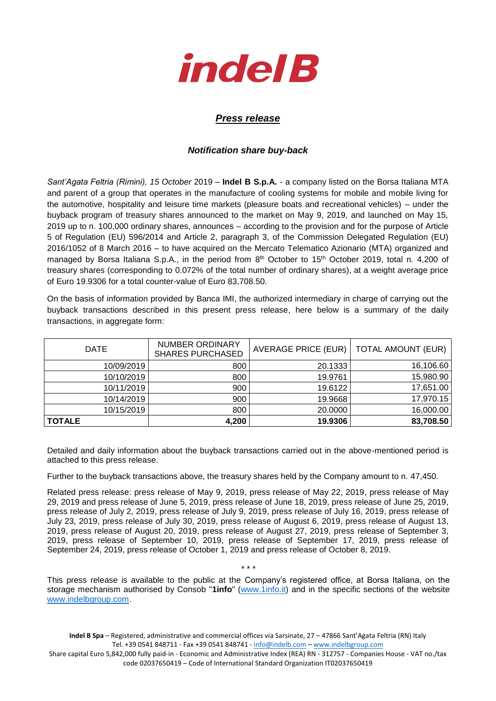

## *Press release*

## *Notification share buy-back*

*Sant'Agata Feltria (Rimini), 15 October* 2019 – **Indel B S.p.A.** - a company listed on the Borsa Italiana MTA and parent of a group that operates in the manufacture of cooling systems for mobile and mobile living for the automotive, hospitality and leisure time markets (pleasure boats and recreational vehicles) – under the buyback program of treasury shares announced to the market on May 9, 2019, and launched on May 15, 2019 up to n. 100,000 ordinary shares, announces – according to the provision and for the purpose of Article 5 of Regulation (EU) 596/2014 and Article 2, paragraph 3, of the Commission Delegated Regulation (EU) 2016/1052 of 8 March 2016 – to have acquired on the Mercato Telematico Azionario (MTA) organized and managed by Borsa Italiana S.p.A., in the period from 8<sup>th</sup> October to 15<sup>th</sup> October 2019, total n. 4,200 of treasury shares (corresponding to 0.072% of the total number of ordinary shares), at a weight average price of Euro 19.9306 for a total counter-value of Euro 83,708.50.

On the basis of information provided by Banca IMI, the authorized intermediary in charge of carrying out the buyback transactions described in this present press release, here below is a summary of the daily transactions, in aggregate form:

| <b>DATE</b>   | NUMBER ORDINARY<br><b>SHARES PURCHASED</b> | AVERAGE PRICE (EUR)   TOTAL AMOUNT (EUR) |           |
|---------------|--------------------------------------------|------------------------------------------|-----------|
| 10/09/2019    | 800                                        | 20.1333                                  | 16,106.60 |
| 10/10/2019    | 800                                        | 19.9761                                  | 15,980.90 |
| 10/11/2019    | 900                                        | 19.6122                                  | 17,651.00 |
| 10/14/2019    | 900                                        | 19.9668                                  | 17,970.15 |
| 10/15/2019    | 800                                        | 20,0000                                  | 16,000.00 |
| <b>TOTALE</b> | 4,200                                      | 19.9306                                  | 83,708.50 |

Detailed and daily information about the buyback transactions carried out in the above-mentioned period is attached to this press release.

Further to the buyback transactions above, the treasury shares held by the Company amount to n. 47,450.

Related press release: press release of May 9, 2019, press release of May 22, 2019, press release of May 29, 2019 and press release of June 5, 2019, press release of June 18, 2019, press release of June 25, 2019, press release of July 2, 2019, press release of July 9, 2019, press release of July 16, 2019, press release of July 23, 2019, press release of July 30, 2019, press release of August 6, 2019, press release of August 13, 2019, press release of August 20, 2019, press release of August 27, 2019, press release of September 3, 2019, press release of September 10, 2019, press release of September 17, 2019, press release of September 24, 2019, press release of October 1, 2019 and press release of October 8, 2019.

This press release is available to the public at the Company's registered office, at Borsa Italiana, on the storage mechanism authorised by Consob "**1info**" [\(www.1info.it\)](file:///C:/Users/ddelietovollaro/AppData/Local/Microsoft/Windows/INetCache/Content.Outlook/T87B94UR/www.1info.it) and in the specific sections of the website [www.indelbgroup.com.](http://www.indelbgroup.com/)

\* \* \*

**Indel B Spa** – Registered, administrative and commercial offices via Sarsinate, 27 – 47866 Sant'Agata Feltria (RN) Italy Tel. +39 0541 848711 - Fax +39 0541 848741 - [info@indelb.com](mailto:info@indelb.com) – [www.indelbgroup.com](http://www.indelbgroup.com/)

Share capital Euro 5,842,000 fully paid-in - Economic and Administrative Index (REA) RN - 312757 - Companies House - VAT no./tax code 02037650419 – Code of International Standard Organization IT02037650419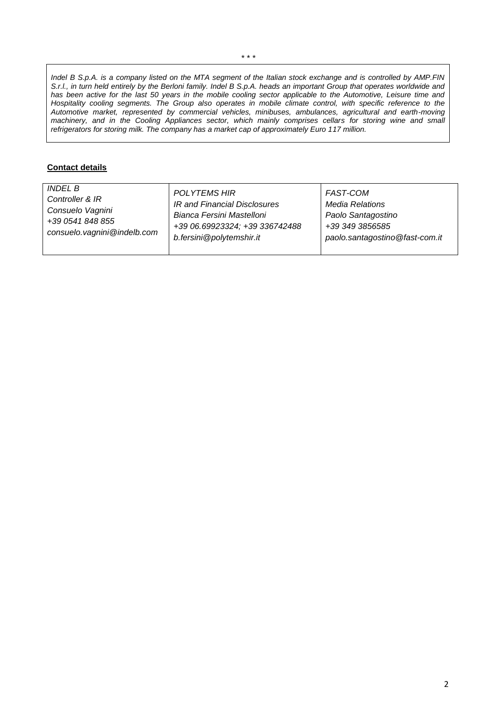*Indel B S.p.A. is a company listed on the MTA segment of the Italian stock exchange and is controlled by AMP.FIN S.r.l., in turn held entirely by the Berloni family. Indel B S.p.A. heads an important Group that operates worldwide and has been active for the last 50 years in the mobile cooling sector applicable to the Automotive, Leisure time and Hospitality cooling segments. The Group also operates in mobile climate control, with specific reference to the Automotive market, represented by commercial vehicles, minibuses, ambulances, agricultural and earth-moving machinery, and in the Cooling Appliances sector, which mainly comprises cellars for storing wine and small refrigerators for storing milk. The company has a market cap of approximately Euro 117 million.* 

## **Contact details**

| INDEL B                       | <b>POLYTEMS HIR</b>            | FAST-COM                       |
|-------------------------------|--------------------------------|--------------------------------|
| Controller & IR               | IR and Financial Disclosures   | <b>Media Relations</b>         |
| Consuelo Vagnini              | Bianca Fersini Mastelloni      | Paolo Santagostino             |
| +39 0541 848 855              | +39 06.69923324; +39 336742488 | +39 349 3856585                |
| consuelo. vagnini @indelb.com | b.fersini@polytemshir.it       | paolo.santagostino@fast-com.it |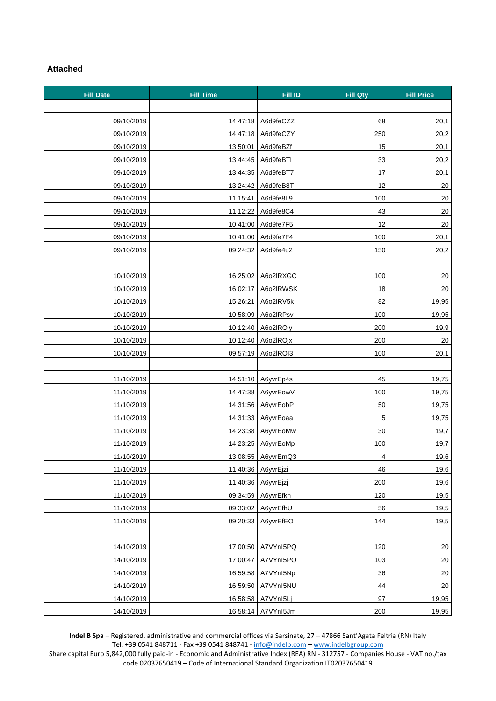## **Attached**

| <b>Fill Date</b> | <b>Fill Time</b> | <b>Fill ID</b>     | <b>Fill Qty</b> | <b>Fill Price</b> |
|------------------|------------------|--------------------|-----------------|-------------------|
|                  |                  |                    |                 |                   |
| 09/10/2019       | 14:47:18         | A6d9feCZZ          | 68              | 20,1              |
| 09/10/2019       | 14:47:18         | A6d9feCZY          | 250             | 20,2              |
| 09/10/2019       | 13:50:01         | A6d9feBZf          | 15              | 20,1              |
| 09/10/2019       | 13:44:45         | A6d9feBTI          | 33              | 20,2              |
| 09/10/2019       | 13:44:35         | A6d9feBT7          | 17              | 20,1              |
| 09/10/2019       | 13:24:42         | A6d9feB8T          | 12              | 20                |
| 09/10/2019       | 11:15:41         | A6d9fe8L9          | 100             | 20                |
| 09/10/2019       | 11:12:22         | A6d9fe8C4          | 43              | 20                |
| 09/10/2019       | 10:41:00         | A6d9fe7F5          | 12              | 20                |
| 09/10/2019       | 10:41:00         | A6d9fe7F4          | 100             | 20,1              |
| 09/10/2019       | 09:24:32         | A6d9fe4u2          | 150             | 20,2              |
|                  |                  |                    |                 |                   |
| 10/10/2019       | 16:25:02         | A6o2IRXGC          | 100             | 20                |
| 10/10/2019       | 16:02:17         | A6o2IRWSK          | 18              | 20                |
| 10/10/2019       | 15:26:21         | A6o2lRV5k          | 82              | 19,95             |
| 10/10/2019       | 10:58:09         | A6o2IRPsv          | 100             | 19,95             |
| 10/10/2019       | 10:12:40         | A6o2IROjy          | 200             | 19,9              |
| 10/10/2019       | 10:12:40         | A6o2IROjx          | 200             | 20                |
| 10/10/2019       | 09:57:19         | A6o2IROI3          | 100             | 20,1              |
|                  |                  |                    |                 |                   |
| 11/10/2019       |                  | 14:51:10 A6yvrEp4s | 45              | 19,75             |
| 11/10/2019       | 14:47:38         | A6yvrEowV          | 100             | 19,75             |
| 11/10/2019       | 14:31:56         | A6yvrEobP          | 50              | 19,75             |
| 11/10/2019       | 14:31:33         | A6yvrEoaa          | $\,$ 5 $\,$     | 19,75             |
| 11/10/2019       | 14:23:38         | A6yvrEoMw          | 30              | 19,7              |
| 11/10/2019       | 14:23:25         | A6yvrEoMp          | 100             | 19,7              |
| 11/10/2019       |                  | 13:08:55 A6yvrEmQ3 | 4               | 19.6              |
| 11/10/2019       | 11:40:36         | A6yvrEjzi          | 46              | 19,6              |
| 11/10/2019       | 11:40:36         | A6yvrEjzj          | 200             | 19,6              |
| 11/10/2019       | 09:34:59         | A6yvrEfkn          | 120             | 19,5              |
| 11/10/2019       | 09:33:02         | A6yvrEfhU          | 56              | 19,5              |
| 11/10/2019       | 09:20:33         | A6yvrEfEO          | 144             | 19,5              |
|                  |                  |                    |                 |                   |
| 14/10/2019       | 17:00:50         | A7VYnI5PQ          | 120             | 20                |
| 14/10/2019       | 17:00:47         | A7VYnI5PO          | 103             | $20\,$            |
| 14/10/2019       | 16:59:58         | A7VYnI5Np          | 36              | 20                |
| 14/10/2019       | 16:59:50         | A7VYnI5NU          | 44              | 20                |
| 14/10/2019       | 16:58:58         | A7VYnI5Lj          | 97              | 19,95             |
| 14/10/2019       | 16:58:14         | A7VYnI5Jm          | 200             | 19,95             |

**Indel B Spa** – Registered, administrative and commercial offices via Sarsinate, 27 – 47866 Sant'Agata Feltria (RN) Italy Tel. +39 0541 848711 - Fax +39 0541 848741 - [info@indelb.com](mailto:info@indelb.com) – [www.indelbgroup.com](http://www.indelbgroup.com/)

Share capital Euro 5,842,000 fully paid-in - Economic and Administrative Index (REA) RN - 312757 - Companies House - VAT no./tax code 02037650419 – Code of International Standard Organization IT02037650419